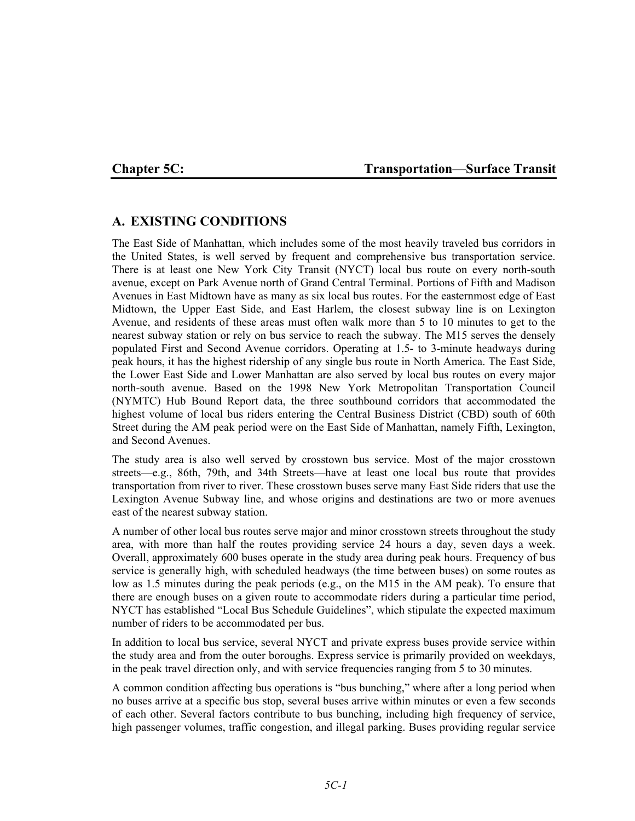## Chapter 5C: Transportation—Surface Transit

# **A. EXISTING CONDITIONS**

The East Side of Manhattan, which includes some of the most heavily traveled bus corridors in the United States, is well served by frequent and comprehensive bus transportation service. There is at least one New York City Transit (NYCT) local bus route on every north-south avenue, except on Park Avenue north of Grand Central Terminal. Portions of Fifth and Madison Avenues in East Midtown have as many as six local bus routes. For the easternmost edge of East Midtown, the Upper East Side, and East Harlem, the closest subway line is on Lexington Avenue, and residents of these areas must often walk more than 5 to 10 minutes to get to the nearest subway station or rely on bus service to reach the subway. The M15 serves the densely populated First and Second Avenue corridors. Operating at 1.5- to 3-minute headways during peak hours, it has the highest ridership of any single bus route in North America. The East Side, the Lower East Side and Lower Manhattan are also served by local bus routes on every major north-south avenue. Based on the 1998 New York Metropolitan Transportation Council (NYMTC) Hub Bound Report data, the three southbound corridors that accommodated the highest volume of local bus riders entering the Central Business District (CBD) south of 60th Street during the AM peak period were on the East Side of Manhattan, namely Fifth, Lexington, and Second Avenues.

The study area is also well served by crosstown bus service. Most of the major crosstown streets—e.g., 86th, 79th, and 34th Streets—have at least one local bus route that provides transportation from river to river. These crosstown buses serve many East Side riders that use the Lexington Avenue Subway line, and whose origins and destinations are two or more avenues east of the nearest subway station.

A number of other local bus routes serve major and minor crosstown streets throughout the study area, with more than half the routes providing service 24 hours a day, seven days a week. Overall, approximately 600 buses operate in the study area during peak hours. Frequency of bus service is generally high, with scheduled headways (the time between buses) on some routes as low as 1.5 minutes during the peak periods (e.g., on the M15 in the AM peak). To ensure that there are enough buses on a given route to accommodate riders during a particular time period, NYCT has established "Local Bus Schedule Guidelines", which stipulate the expected maximum number of riders to be accommodated per bus.

In addition to local bus service, several NYCT and private express buses provide service within the study area and from the outer boroughs. Express service is primarily provided on weekdays, in the peak travel direction only, and with service frequencies ranging from 5 to 30 minutes.

A common condition affecting bus operations is "bus bunching," where after a long period when no buses arrive at a specific bus stop, several buses arrive within minutes or even a few seconds of each other. Several factors contribute to bus bunching, including high frequency of service, high passenger volumes, traffic congestion, and illegal parking. Buses providing regular service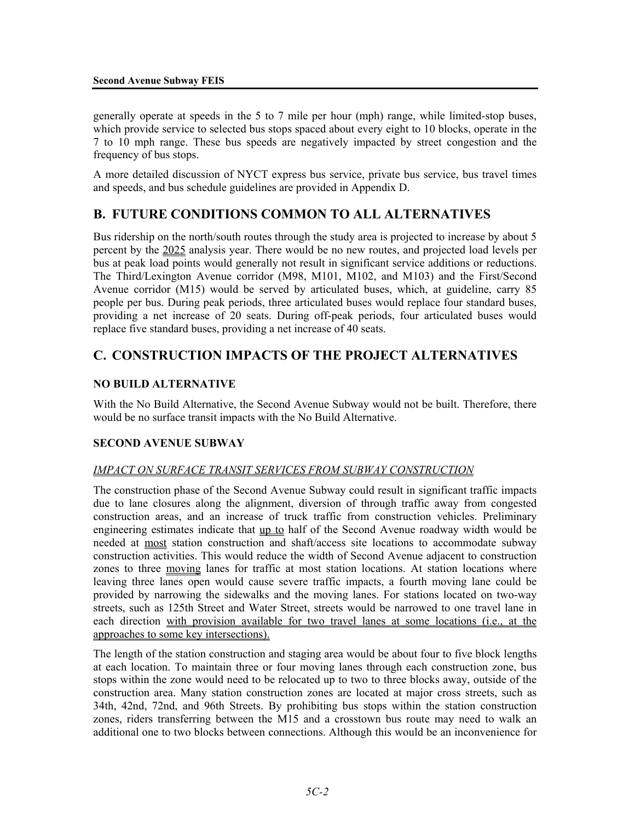generally operate at speeds in the 5 to 7 mile per hour (mph) range, while limited-stop buses, which provide service to selected bus stops spaced about every eight to 10 blocks, operate in the 7 to 10 mph range. These bus speeds are negatively impacted by street congestion and the frequency of bus stops.

A more detailed discussion of NYCT express bus service, private bus service, bus travel times and speeds, and bus schedule guidelines are provided in Appendix D.

# **B. FUTURE CONDITIONS COMMON TO ALL ALTERNATIVES**

Bus ridership on the north/south routes through the study area is projected to increase by about 5 percent by the 2025 analysis year. There would be no new routes, and projected load levels per bus at peak load points would generally not result in significant service additions or reductions. The Third/Lexington Avenue corridor (M98, M101, M102, and M103) and the First/Second Avenue corridor (M15) would be served by articulated buses, which, at guideline, carry 85 people per bus. During peak periods, three articulated buses would replace four standard buses, providing a net increase of 20 seats. During off-peak periods, four articulated buses would replace five standard buses, providing a net increase of 40 seats.

# **C. CONSTRUCTION IMPACTS OF THE PROJECT ALTERNATIVES**

## **NO BUILD ALTERNATIVE**

With the No Build Alternative, the Second Avenue Subway would not be built. Therefore, there would be no surface transit impacts with the No Build Alternative.

### **SECOND AVENUE SUBWAY**

### *IMPACT ON SURFACE TRANSIT SERVICES FROM SUBWAY CONSTRUCTION*

The construction phase of the Second Avenue Subway could result in significant traffic impacts due to lane closures along the alignment, diversion of through traffic away from congested construction areas, and an increase of truck traffic from construction vehicles. Preliminary engineering estimates indicate that up to half of the Second Avenue roadway width would be needed at <u>most</u> station construction and shaft/access site locations to accommodate subway construction activities. This would reduce the width of Second Avenue adjacent to construction zones to three moving lanes for traffic at most station locations. At station locations where leaving three lanes open would cause severe traffic impacts, a fourth moving lane could be provided by narrowing the sidewalks and the moving lanes. For stations located on two-way streets, such as 125th Street and Water Street, streets would be narrowed to one travel lane in each direction with provision available for two travel lanes at some locations (i.e., at the approaches to some key intersections).

The length of the station construction and staging area would be about four to five block lengths at each location. To maintain three or four moving lanes through each construction zone, bus stops within the zone would need to be relocated up to two to three blocks away, outside of the construction area. Many station construction zones are located at major cross streets, such as 34th, 42nd, 72nd, and 96th Streets. By prohibiting bus stops within the station construction zones, riders transferring between the M15 and a crosstown bus route may need to walk an additional one to two blocks between connections. Although this would be an inconvenience for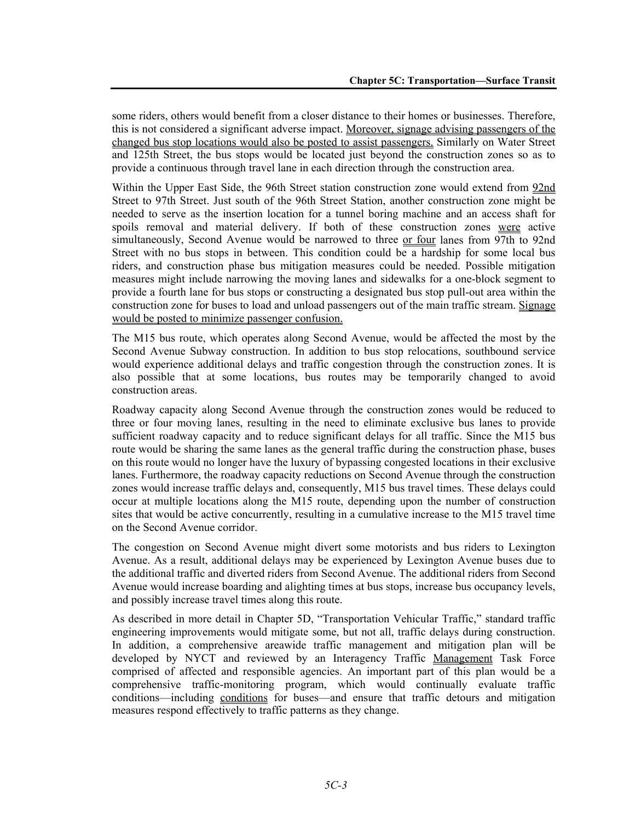some riders, others would benefit from a closer distance to their homes or businesses. Therefore, this is not considered a significant adverse impact. Moreover, signage advising passengers of the changed bus stop locations would also be posted to assist passengers. Similarly on Water Street and 125th Street, the bus stops would be located just beyond the construction zones so as to provide a continuous through travel lane in each direction through the construction area.

Within the Upper East Side, the 96th Street station construction zone would extend from 92nd Street to 97th Street. Just south of the 96th Street Station, another construction zone might be needed to serve as the insertion location for a tunnel boring machine and an access shaft for spoils removal and material delivery. If both of these construction zones were active simultaneously, Second Avenue would be narrowed to three or four lanes from 97th to 92nd Street with no bus stops in between. This condition could be a hardship for some local bus riders, and construction phase bus mitigation measures could be needed. Possible mitigation measures might include narrowing the moving lanes and sidewalks for a one-block segment to provide a fourth lane for bus stops or constructing a designated bus stop pull-out area within the construction zone for buses to load and unload passengers out of the main traffic stream. Signage would be posted to minimize passenger confusion.

The M15 bus route, which operates along Second Avenue, would be affected the most by the Second Avenue Subway construction. In addition to bus stop relocations, southbound service would experience additional delays and traffic congestion through the construction zones. It is also possible that at some locations, bus routes may be temporarily changed to avoid construction areas.

Roadway capacity along Second Avenue through the construction zones would be reduced to three or four moving lanes, resulting in the need to eliminate exclusive bus lanes to provide sufficient roadway capacity and to reduce significant delays for all traffic. Since the M15 bus route would be sharing the same lanes as the general traffic during the construction phase, buses on this route would no longer have the luxury of bypassing congested locations in their exclusive lanes. Furthermore, the roadway capacity reductions on Second Avenue through the construction zones would increase traffic delays and, consequently, M15 bus travel times. These delays could occur at multiple locations along the M15 route, depending upon the number of construction sites that would be active concurrently, resulting in a cumulative increase to the M15 travel time on the Second Avenue corridor.

The congestion on Second Avenue might divert some motorists and bus riders to Lexington Avenue. As a result, additional delays may be experienced by Lexington Avenue buses due to the additional traffic and diverted riders from Second Avenue. The additional riders from Second Avenue would increase boarding and alighting times at bus stops, increase bus occupancy levels, and possibly increase travel times along this route.

As described in more detail in Chapter 5D, "Transportation Vehicular Traffic," standard traffic engineering improvements would mitigate some, but not all, traffic delays during construction. In addition, a comprehensive areawide traffic management and mitigation plan will be developed by NYCT and reviewed by an Interagency Traffic Management Task Force comprised of affected and responsible agencies. An important part of this plan would be a comprehensive traffic-monitoring program, which would continually evaluate traffic conditions—including conditions for buses—and ensure that traffic detours and mitigation measures respond effectively to traffic patterns as they change.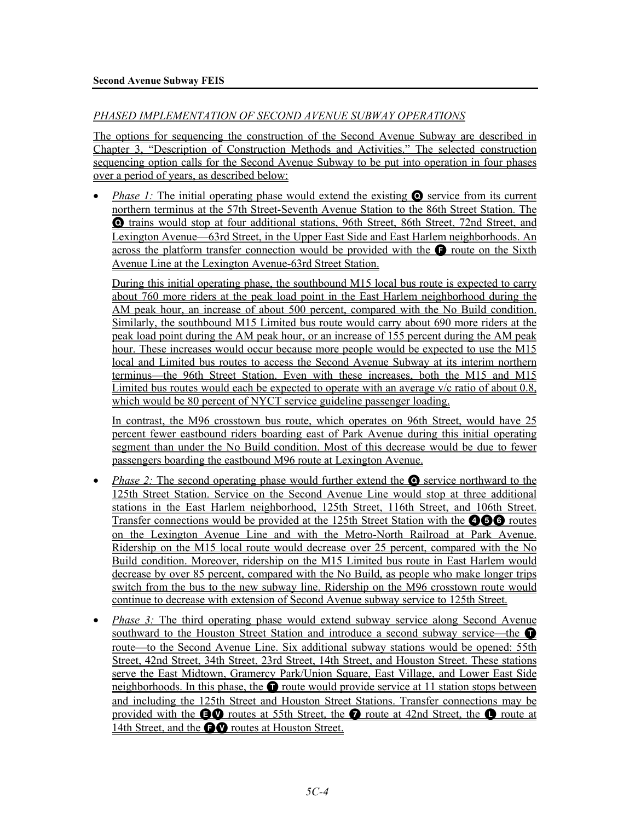## *PHASED IMPLEMENTATION OF SECOND AVENUE SUBWAY OPERATIONS*

The options for sequencing the construction of the Second Avenue Subway are described in Chapter 3, "Description of Construction Methods and Activities." The selected construction sequencing option calls for the Second Avenue Subway to be put into operation in four phases over a period of years, as described below:

*Phase 1:* The initial operating phase would extend the existing **O** service from its current northern terminus at the 57th Street-Seventh Avenue Station to the 86th Street Station. The Q trains would stop at four additional stations, 96th Street, 86th Street, 72nd Street, and Lexington Avenue—63rd Street, in the Upper East Side and East Harlem neighborhoods. An across the platform transfer connection would be provided with the  $\bullet$  route on the Sixth Avenue Line at the Lexington Avenue-63rd Street Station.

During this initial operating phase, the southbound M15 local bus route is expected to carry about 760 more riders at the peak load point in the East Harlem neighborhood during the AM peak hour, an increase of about 500 percent, compared with the No Build condition. Similarly, the southbound M15 Limited bus route would carry about 690 more riders at the peak load point during the AM peak hour, or an increase of 155 percent during the AM peak hour. These increases would occur because more people would be expected to use the M15 local and Limited bus routes to access the Second Avenue Subway at its interim northern terminus—the 96th Street Station. Even with these increases, both the M15 and M15 Limited bus routes would each be expected to operate with an average  $v/c$  ratio of about 0.8, which would be 80 percent of NYCT service guideline passenger loading.

In contrast, the M96 crosstown bus route, which operates on 96th Street, would have 25 percent fewer eastbound riders boarding east of Park Avenue during this initial operating segment than under the No Build condition. Most of this decrease would be due to fewer passengers boarding the eastbound M96 route at Lexington Avenue.

- *Phase 2:* The second operating phase would further extend the **Q** service northward to the 125th Street Station. Service on the Second Avenue Line would stop at three additional stations in the East Harlem neighborhood, 125th Street, 116th Street, and 106th Street. Transfer connections would be provided at the 125th Street Station with the  $\bigcirc$   $\bigcirc$  routes on the Lexington Avenue Line and with the Metro-North Railroad at Park Avenue. Ridership on the M15 local route would decrease over 25 percent, compared with the No Build condition. Moreover, ridership on the M15 Limited bus route in East Harlem would decrease by over 85 percent, compared with the No Build, as people who make longer trips switch from the bus to the new subway line. Ridership on the M96 crosstown route would continue to decrease with extension of Second Avenue subway service to 125th Street.
- *Phase 3:* The third operating phase would extend subway service along Second Avenue southward to the Houston Street Station and introduce a second subway service—the  $\bullet$ route—to the Second Avenue Line. Six additional subway stations would be opened: 55th Street, 42nd Street, 34th Street, 23rd Street, 14th Street, and Houston Street. These stations serve the East Midtown, Gramercy Park/Union Square, East Village, and Lower East Side neighborhoods. In this phase, the  $\bullet$  route would provide service at 11 station stops between and including the 125th Street and Houston Street Stations. Transfer connections may be provided with the **EV** routes at 55th Street, the **O** route at 42nd Street, the **O** route at 14th Street, and the  $\bigcirc$  routes at Houston Street.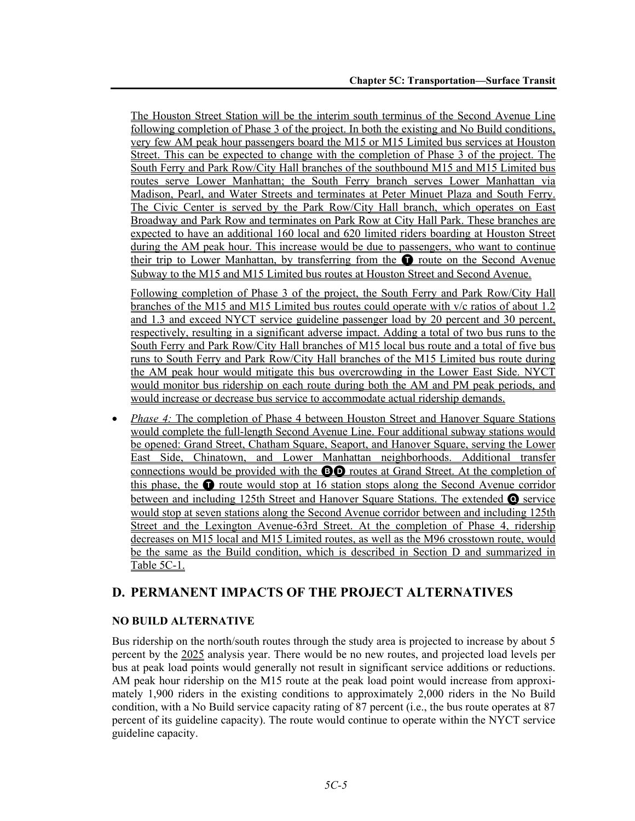The Houston Street Station will be the interim south terminus of the Second Avenue Line following completion of Phase 3 of the project. In both the existing and No Build conditions, very few AM peak hour passengers board the M15 or M15 Limited bus services at Houston Street. This can be expected to change with the completion of Phase 3 of the project. The South Ferry and Park Row/City Hall branches of the southbound M15 and M15 Limited bus routes serve Lower Manhattan; the South Ferry branch serves Lower Manhattan via Madison, Pearl, and Water Streets and terminates at Peter Minuet Plaza and South Ferry. The Civic Center is served by the Park Row/City Hall branch, which operates on East Broadway and Park Row and terminates on Park Row at City Hall Park. These branches are expected to have an additional 160 local and 620 limited riders boarding at Houston Street during the AM peak hour. This increase would be due to passengers, who want to continue their trip to Lower Manhattan, by transferring from the  $\bullet$  route on the Second Avenue Subway to the M15 and M15 Limited bus routes at Houston Street and Second Avenue.

Following completion of Phase 3 of the project, the South Ferry and Park Row/City Hall branches of the M15 and M15 Limited bus routes could operate with v/c ratios of about 1.2 and 1.3 and exceed NYCT service guideline passenger load by 20 percent and 30 percent, respectively, resulting in a significant adverse impact. Adding a total of two bus runs to the South Ferry and Park Row/City Hall branches of M15 local bus route and a total of five bus runs to South Ferry and Park Row/City Hall branches of the M15 Limited bus route during the AM peak hour would mitigate this bus overcrowding in the Lower East Side. NYCT would monitor bus ridership on each route during both the AM and PM peak periods, and would increase or decrease bus service to accommodate actual ridership demands.

*Phase 4:* The completion of Phase 4 between Houston Street and Hanover Square Stations would complete the full-length Second Avenue Line. Four additional subway stations would be opened: Grand Street, Chatham Square, Seaport, and Hanover Square, serving the Lower East Side, Chinatown, and Lower Manhattan neighborhoods. Additional transfer connections would be provided with the BD routes at Grand Street. At the completion of this phase, the  $\bullet$  route would stop at 16 station stops along the Second Avenue corridor between and including 125th Street and Hanover Square Stations. The extended Q service would stop at seven stations along the Second Avenue corridor between and including 125th Street and the Lexington Avenue-63rd Street. At the completion of Phase 4, ridership decreases on M15 local and M15 Limited routes, as well as the M96 crosstown route, would be the same as the Build condition, which is described in Section D and summarized in Table 5C-1.

# **D. PERMANENT IMPACTS OF THE PROJECT ALTERNATIVES**

## **NO BUILD ALTERNATIVE**

Bus ridership on the north/south routes through the study area is projected to increase by about 5 percent by the 2025 analysis year. There would be no new routes, and projected load levels per bus at peak load points would generally not result in significant service additions or reductions. AM peak hour ridership on the M15 route at the peak load point would increase from approximately 1,900 riders in the existing conditions to approximately 2,000 riders in the No Build condition, with a No Build service capacity rating of 87 percent (i.e., the bus route operates at 87 percent of its guideline capacity). The route would continue to operate within the NYCT service guideline capacity.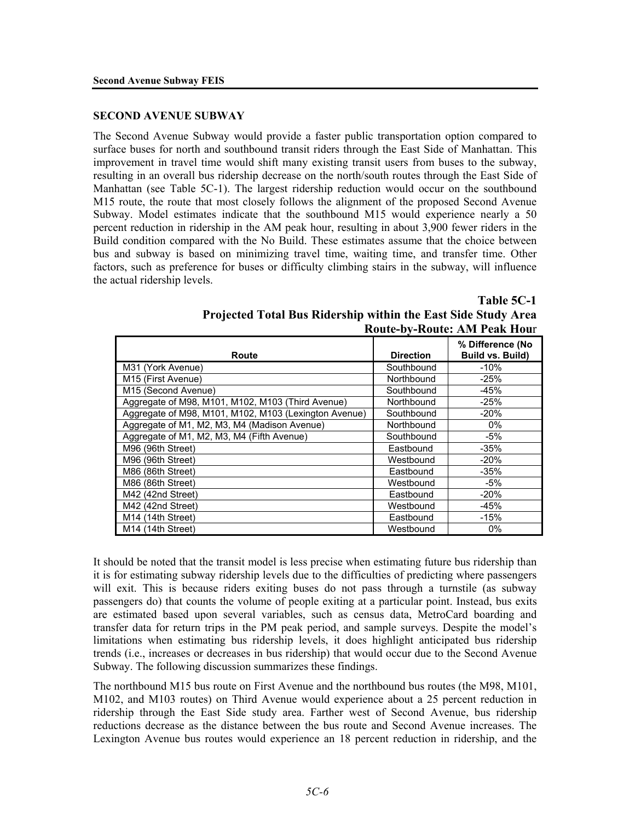#### **SECOND AVENUE SUBWAY**

The Second Avenue Subway would provide a faster public transportation option compared to surface buses for north and southbound transit riders through the East Side of Manhattan. This improvement in travel time would shift many existing transit users from buses to the subway, resulting in an overall bus ridership decrease on the north/south routes through the East Side of Manhattan (see Table 5C-1). The largest ridership reduction would occur on the southbound M15 route, the route that most closely follows the alignment of the proposed Second Avenue Subway. Model estimates indicate that the southbound M15 would experience nearly a 50 percent reduction in ridership in the AM peak hour, resulting in about 3,900 fewer riders in the Build condition compared with the No Build. These estimates assume that the choice between bus and subway is based on minimizing travel time, waiting time, and transfer time. Other factors, such as preference for buses or difficulty climbing stairs in the subway, will influence the actual ridership levels.

**Table 5C-1**

| Projected Total Bus Ridership within the East Side Study Area |
|---------------------------------------------------------------|
| <b>Route-by-Route: AM Peak Hour</b>                           |

| Route                                                 | <b>Direction</b> | % Difference (No<br>Build vs. Build) |
|-------------------------------------------------------|------------------|--------------------------------------|
| M31 (York Avenue)                                     | Southbound       | $-10%$                               |
| M15 (First Avenue)                                    | Northbound       | $-25%$                               |
| M15 (Second Avenue)                                   | Southbound       | $-45%$                               |
| Aggregate of M98, M101, M102, M103 (Third Avenue)     | Northbound       | $-25%$                               |
| Aggregate of M98, M101, M102, M103 (Lexington Avenue) | Southbound       | $-20%$                               |
| Aggregate of M1, M2, M3, M4 (Madison Avenue)          | Northbound       | $0\%$                                |
| Aggregate of M1, M2, M3, M4 (Fifth Avenue)            | Southbound       | $-5%$                                |
| M96 (96th Street)                                     | Eastbound        | $-35%$                               |
| M96 (96th Street)                                     | Westbound        | $-20%$                               |
| M86 (86th Street)                                     | Eastbound        | $-35%$                               |
| M86 (86th Street)                                     | Westbound        | -5%                                  |
| M42 (42nd Street)                                     | Eastbound        | $-20%$                               |
| M42 (42nd Street)                                     | Westbound        | $-45%$                               |
| M <sub>14</sub> (14th Street)                         | Eastbound        | $-15%$                               |
| M14 (14th Street)                                     | Westbound        | 0%                                   |

It should be noted that the transit model is less precise when estimating future bus ridership than it is for estimating subway ridership levels due to the difficulties of predicting where passengers will exit. This is because riders exiting buses do not pass through a turnstile (as subway passengers do) that counts the volume of people exiting at a particular point. Instead, bus exits are estimated based upon several variables, such as census data, MetroCard boarding and transfer data for return trips in the PM peak period, and sample surveys. Despite the model's limitations when estimating bus ridership levels, it does highlight anticipated bus ridership trends (i.e., increases or decreases in bus ridership) that would occur due to the Second Avenue Subway. The following discussion summarizes these findings.

The northbound M15 bus route on First Avenue and the northbound bus routes (the M98, M101, M102, and M103 routes) on Third Avenue would experience about a 25 percent reduction in ridership through the East Side study area. Farther west of Second Avenue, bus ridership reductions decrease as the distance between the bus route and Second Avenue increases. The Lexington Avenue bus routes would experience an 18 percent reduction in ridership, and the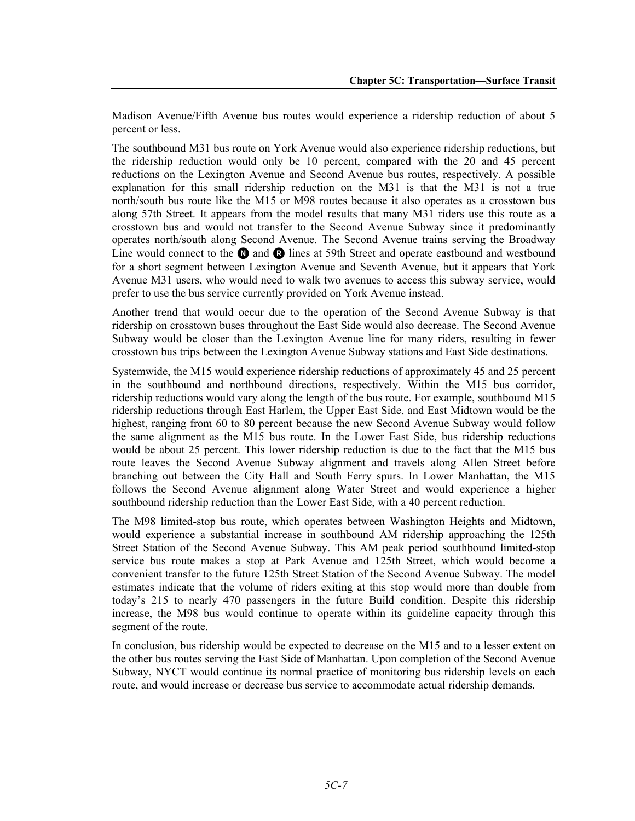Madison Avenue/Fifth Avenue bus routes would experience a ridership reduction of about 5 percent or less.

The southbound M31 bus route on York Avenue would also experience ridership reductions, but the ridership reduction would only be 10 percent, compared with the 20 and 45 percent reductions on the Lexington Avenue and Second Avenue bus routes, respectively. A possible explanation for this small ridership reduction on the M31 is that the M31 is not a true north/south bus route like the M15 or M98 routes because it also operates as a crosstown bus along 57th Street. It appears from the model results that many M31 riders use this route as a crosstown bus and would not transfer to the Second Avenue Subway since it predominantly operates north/south along Second Avenue. The Second Avenue trains serving the Broadway Line would connect to the  $\Omega$  and  $\Omega$  lines at 59th Street and operate eastbound and westbound for a short segment between Lexington Avenue and Seventh Avenue, but it appears that York Avenue M31 users, who would need to walk two avenues to access this subway service, would prefer to use the bus service currently provided on York Avenue instead.

Another trend that would occur due to the operation of the Second Avenue Subway is that ridership on crosstown buses throughout the East Side would also decrease. The Second Avenue Subway would be closer than the Lexington Avenue line for many riders, resulting in fewer crosstown bus trips between the Lexington Avenue Subway stations and East Side destinations.

Systemwide, the M15 would experience ridership reductions of approximately 45 and 25 percent in the southbound and northbound directions, respectively. Within the M15 bus corridor, ridership reductions would vary along the length of the bus route. For example, southbound M15 ridership reductions through East Harlem, the Upper East Side, and East Midtown would be the highest, ranging from 60 to 80 percent because the new Second Avenue Subway would follow the same alignment as the M15 bus route. In the Lower East Side, bus ridership reductions would be about 25 percent. This lower ridership reduction is due to the fact that the M15 bus route leaves the Second Avenue Subway alignment and travels along Allen Street before branching out between the City Hall and South Ferry spurs. In Lower Manhattan, the M15 follows the Second Avenue alignment along Water Street and would experience a higher southbound ridership reduction than the Lower East Side, with a 40 percent reduction.

The M98 limited-stop bus route, which operates between Washington Heights and Midtown, would experience a substantial increase in southbound AM ridership approaching the 125th Street Station of the Second Avenue Subway. This AM peak period southbound limited-stop service bus route makes a stop at Park Avenue and 125th Street, which would become a convenient transfer to the future 125th Street Station of the Second Avenue Subway. The model estimates indicate that the volume of riders exiting at this stop would more than double from today's 215 to nearly 470 passengers in the future Build condition. Despite this ridership increase, the M98 bus would continue to operate within its guideline capacity through this segment of the route.

In conclusion, bus ridership would be expected to decrease on the M15 and to a lesser extent on the other bus routes serving the East Side of Manhattan. Upon completion of the Second Avenue Subway, NYCT would continue its normal practice of monitoring bus ridership levels on each route, and would increase or decrease bus service to accommodate actual ridership demands.